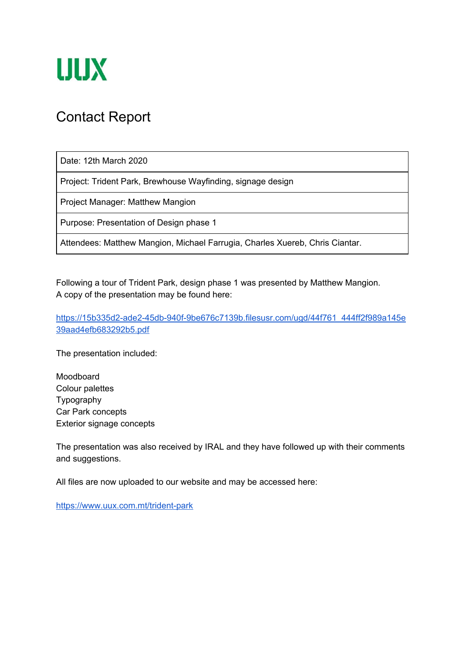

### Contact Report

Date: 12th March 2020

Project: Trident Park, Brewhouse Wayfinding, signage design

Project Manager: Matthew Mangion

Purpose: Presentation of Design phase 1

Attendees: Matthew Mangion, Michael Farrugia, Charles Xuereb, Chris Ciantar.

Following a tour of Trident Park, design phase 1 was presented by Matthew Mangion. A copy of the presentation may be found here:

[https://15b335d2-ade2-45db-940f-9be676c7139b.filesusr.com/ugd/44f761\\_444ff2f989a145e](https://15b335d2-ade2-45db-940f-9be676c7139b.filesusr.com/ugd/44f761_444ff2f989a145e39aad4efb683292b5.pdf) [39aad4efb683292b5.pdf](https://15b335d2-ade2-45db-940f-9be676c7139b.filesusr.com/ugd/44f761_444ff2f989a145e39aad4efb683292b5.pdf)

The presentation included:

Moodboard Colour palettes Typography Car Park concepts Exterior signage concepts

The presentation was also received by IRAL and they have followed up with their comments and suggestions.

All files are now uploaded to our website and may be accessed here:

<https://www.uux.com.mt/trident-park>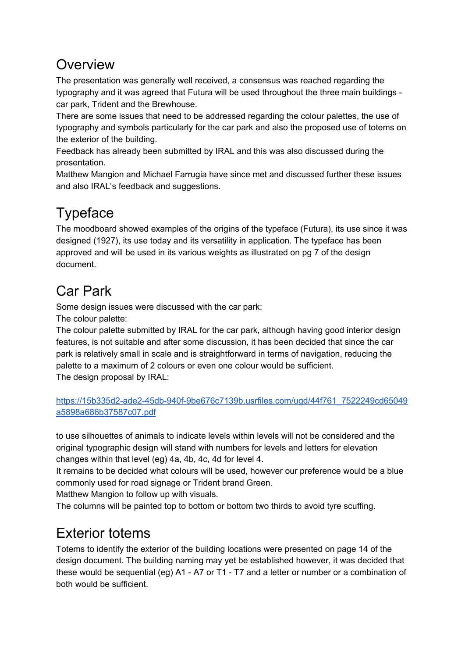## **Overview**

The presentation was generally well received, a consensus was reached regarding the typography and it was agreed that Futura will be used throughout the three main buildings car park, Trident and the Brewhouse.

There are some issues that need to be addressed regarding the colour palettes, the use of typography and symbols particularly for the car park and also the proposed use of totems on the exterior of the building.

Feedback has already been submitted by IRAL and this was also discussed during the presentation.

Matthew Mangion and Michael Farrugia have since met and discussed further these issues and also IRAL's feedback and suggestions.

# Typeface

The moodboard showed examples of the origins of the typeface (Futura), its use since it was designed (1927), its use today and its versatility in application. The typeface has been approved and will be used in its various weights as illustrated on pg 7 of the design document.

# Car Park

Some design issues were discussed with the car park:

The colour palette:

The colour palette submitted by IRAL for the car park, although having good interior design features, is not suitable and after some discussion, it has been decided that since the car park is relatively small in scale and is straightforward in terms of navigation, reducing the palette to a maximum of 2 colours or even one colour would be sufficient. The design proposal by IRAL:

```
https://15b335d2-ade2-45db-940f-9be676c7139b.usrfiles.com/ugd/44f761_7522249cd65049
a5898a686b37587c07.pdf
```
to use silhouettes of animals to indicate levels within levels will not be considered and the original typographic design will stand with numbers for levels and letters for elevation changes within that level (eg) 4a, 4b, 4c, 4d for level 4.

It remains to be decided what colours will be used, however our preference would be a blue commonly used for road signage or Trident brand Green.

Matthew Mangion to follow up with visuals.

The columns will be painted top to bottom or bottom two thirds to avoid tyre scuffing.

## Exterior totems

Totems to identify the exterior of the building locations were presented on page 14 of the design document. The building naming may yet be established however, it was decided that these would be sequential (eg) A1 - A7 or T1 - T7 and a letter or number or a combination of both would be sufficient.